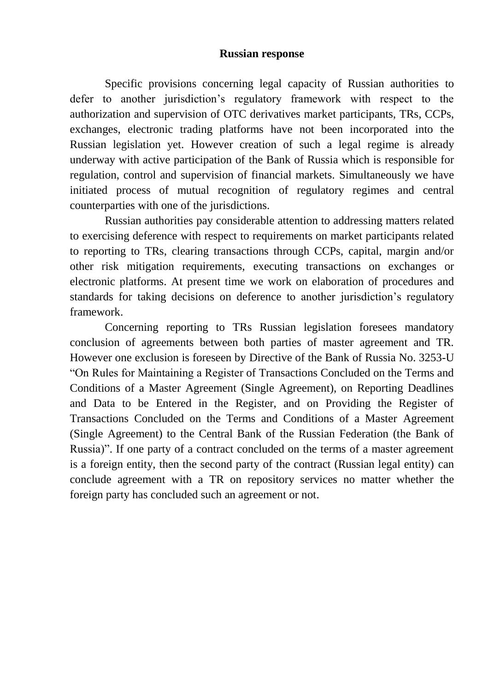## **Russian response**

Specific provisions concerning legal capacity of Russian authorities to defer to another jurisdiction's regulatory framework with respect to the authorization and supervision of OTC derivatives market participants, TRs, CCPs, exchanges, electronic trading platforms have not been incorporated into the Russian legislation yet. However creation of such a legal regime is already underway with active participation of the Bank of Russia which is responsible for regulation, control and supervision of financial markets. Simultaneously we have initiated process of mutual recognition of regulatory regimes and central counterparties with one of the jurisdictions.

Russian authorities pay considerable attention to addressing matters related to exercising deference with respect to requirements on market participants related to reporting to TRs, clearing transactions through CCPs, capital, margin and/or other risk mitigation requirements, executing transactions on exchanges or electronic platforms. At present time we work on elaboration of procedures and standards for taking decisions on deference to another jurisdiction's regulatory framework.

Concerning reporting to TRs Russian legislation foresees mandatory conclusion of agreements between both parties of master agreement and TR. However one exclusion is foreseen by Directive of the Bank of Russia No. 3253-U "On Rules for Maintaining a Register of Transactions Concluded on the Terms and Conditions of a Master Agreement (Single Agreement), on Reporting Deadlines and Data to be Entered in the Register, and on Providing the Register of Transactions Concluded on the Terms and Conditions of a Master Agreement (Single Agreement) to the Central Bank of the Russian Federation (the Bank of Russia)". If one party of a contract concluded on the terms of a master agreement is a foreign entity, then the second party of the contract (Russian legal entity) can conclude agreement with a TR on repository services no matter whether the foreign party has concluded such an agreement or not.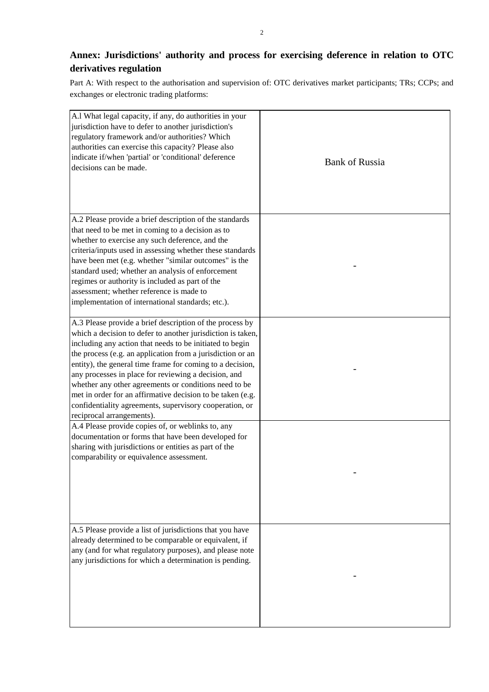## **Annex: Jurisdictions' authority and process for exercising deference in relation to OTC derivatives regulation**

Part A: With respect to the authorisation and supervision of: OTC derivatives market participants; TRs; CCPs; and exchanges or electronic trading platforms:

| A.1 What legal capacity, if any, do authorities in your<br>jurisdiction have to defer to another jurisdiction's<br>regulatory framework and/or authorities? Which<br>authorities can exercise this capacity? Please also<br>indicate if/when 'partial' or 'conditional' deference<br>decisions can be made.                                                                                                                                                                                                                                                                           | <b>Bank of Russia</b> |
|---------------------------------------------------------------------------------------------------------------------------------------------------------------------------------------------------------------------------------------------------------------------------------------------------------------------------------------------------------------------------------------------------------------------------------------------------------------------------------------------------------------------------------------------------------------------------------------|-----------------------|
| A.2 Please provide a brief description of the standards<br>that need to be met in coming to a decision as to<br>whether to exercise any such deference, and the<br>criteria/inputs used in assessing whether these standards<br>have been met (e.g. whether "similar outcomes" is the<br>standard used; whether an analysis of enforcement<br>regimes or authority is included as part of the<br>assessment; whether reference is made to<br>implementation of international standards; etc.).                                                                                        |                       |
| A.3 Please provide a brief description of the process by<br>which a decision to defer to another jurisdiction is taken,<br>including any action that needs to be initiated to begin<br>the process (e.g. an application from a jurisdiction or an<br>entity), the general time frame for coming to a decision,<br>any processes in place for reviewing a decision, and<br>whether any other agreements or conditions need to be<br>met in order for an affirmative decision to be taken (e.g.<br>confidentiality agreements, supervisory cooperation, or<br>reciprocal arrangements). |                       |
| A.4 Please provide copies of, or weblinks to, any<br>documentation or forms that have been developed for<br>sharing with jurisdictions or entities as part of the<br>comparability or equivalence assessment.                                                                                                                                                                                                                                                                                                                                                                         |                       |
| A.5 Please provide a list of jurisdictions that you have<br>already determined to be comparable or equivalent, if<br>any (and for what regulatory purposes), and please note<br>any jurisdictions for which a determination is pending.                                                                                                                                                                                                                                                                                                                                               |                       |